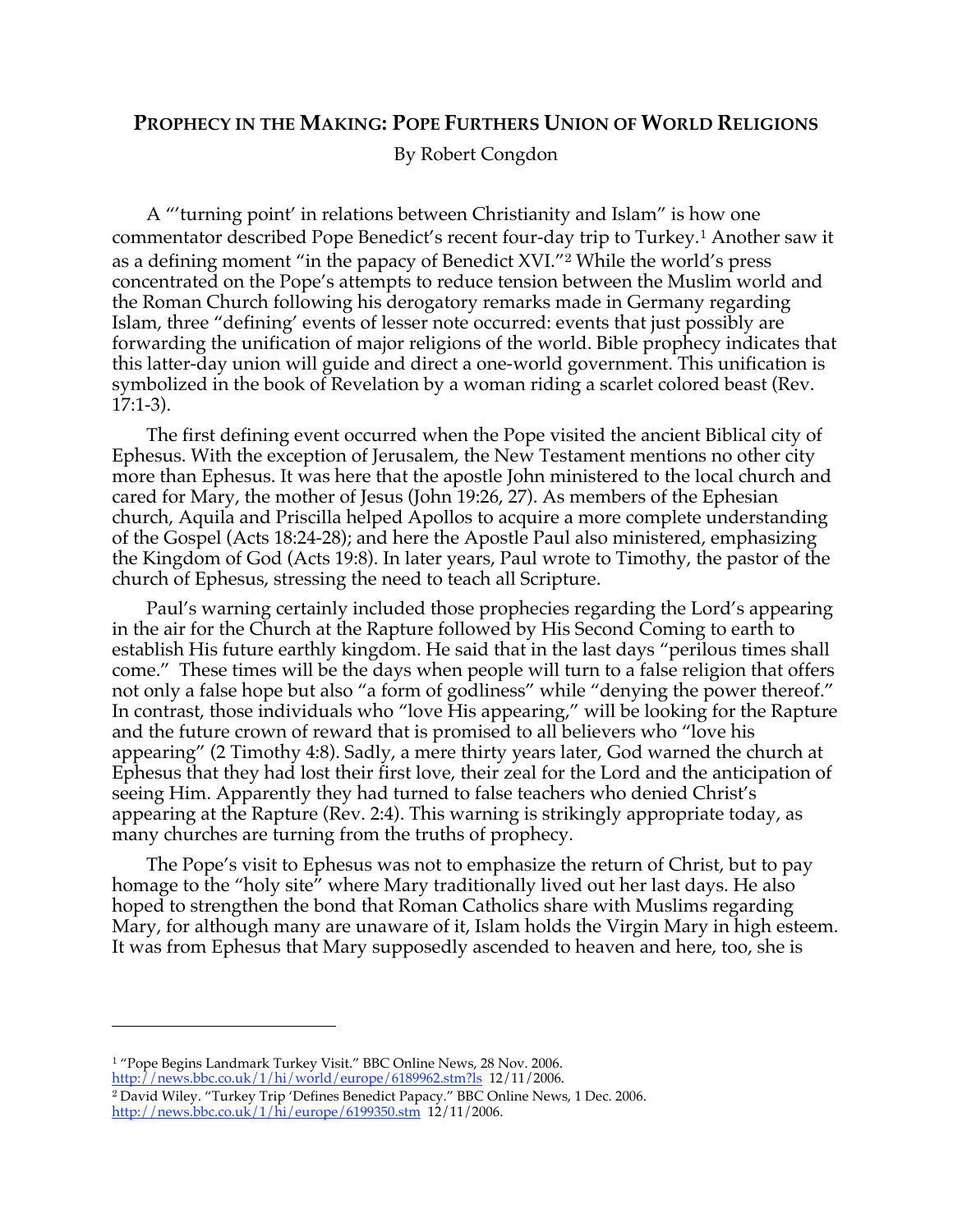## **PROPHECY IN THE MAKING: POPE FURTHERS UNION OF WORLD RELIGIONS**

By Robert Congdon

A "'turning point' in relations between Christianity and Islam" is how one commentator described Pope Benedict's recent four-day trip to Turkey.<sup>1</sup> Another saw it as a defining moment "in the papacy of Benedict XVI."<sup>2</sup> While the world's press concentrated on the Pope's attempts to reduce tension between the Muslim world and the Roman Church following his derogatory remarks made in Germany regarding Islam, three "defining' events of lesser note occurred: events that just possibly are forwarding the unification of major religions of the world. Bible prophecy indicates that this latter-day union will guide and direct a one-world government. This unification is symbolized in the book of Revelation by a woman riding a scarlet colored beast (Rev. 17:1-3).

The first defining event occurred when the Pope visited the ancient Biblical city of Ephesus. With the exception of Jerusalem, the New Testament mentions no other city more than Ephesus. It was here that the apostle John ministered to the local church and cared for Mary, the mother of Jesus (John 19:26, 27). As members of the Ephesian church, Aquila and Priscilla helped Apollos to acquire a more complete understanding of the Gospel (Acts 18:24-28); and here the Apostle Paul also ministered, emphasizing the Kingdom of God (Acts 19:8). In later years, Paul wrote to Timothy, the pastor of the church of Ephesus, stressing the need to teach all Scripture.

Paul's warning certainly included those prophecies regarding the Lord's appearing in the air for the Church at the Rapture followed by His Second Coming to earth to establish His future earthly kingdom. He said that in the last days "perilous times shall come." These times will be the days when people will turn to a false religion that offers not only a false hope but also "a form of godliness" while "denying the power thereof." In contrast, those individuals who "love His appearing," will be looking for the Rapture and the future crown of reward that is promised to all believers who "love his appearing" (2 Timothy 4:8). Sadly, a mere thirty years later, God warned the church at Ephesus that they had lost their first love, their zeal for the Lord and the anticipation of seeing Him. Apparently they had turned to false teachers who denied Christ's appearing at the Rapture (Rev. 2:4). This warning is strikingly appropriate today, as many churches are turning from the truths of prophecy.

The Pope's visit to Ephesus was not to emphasize the return of Christ, but to pay homage to the "holy site" where Mary traditionally lived out her last days. He also hoped to strengthen the bond that Roman Catholics share with Muslims regarding Mary, for although many are unaware of it, Islam holds the Virgin Mary in high esteem. It was from Ephesus that Mary supposedly ascended to heaven and here, too, she is

http://news.bbc.co.uk/1/hi/world/europe/6189962.stm?ls 12/11/2006. <sup>2</sup> David Wiley. "Turkey Trip 'Defines Benedict Papacy." BBC Online News, 1 Dec. 2006. http://news.bbc.co.uk/1/hi/europe/6199350.stm 12/11/2006.

<sup>&</sup>lt;sup>1</sup> "Pope Begins Landmark Turkey Visit." BBC Online News, 28 Nov. 2006.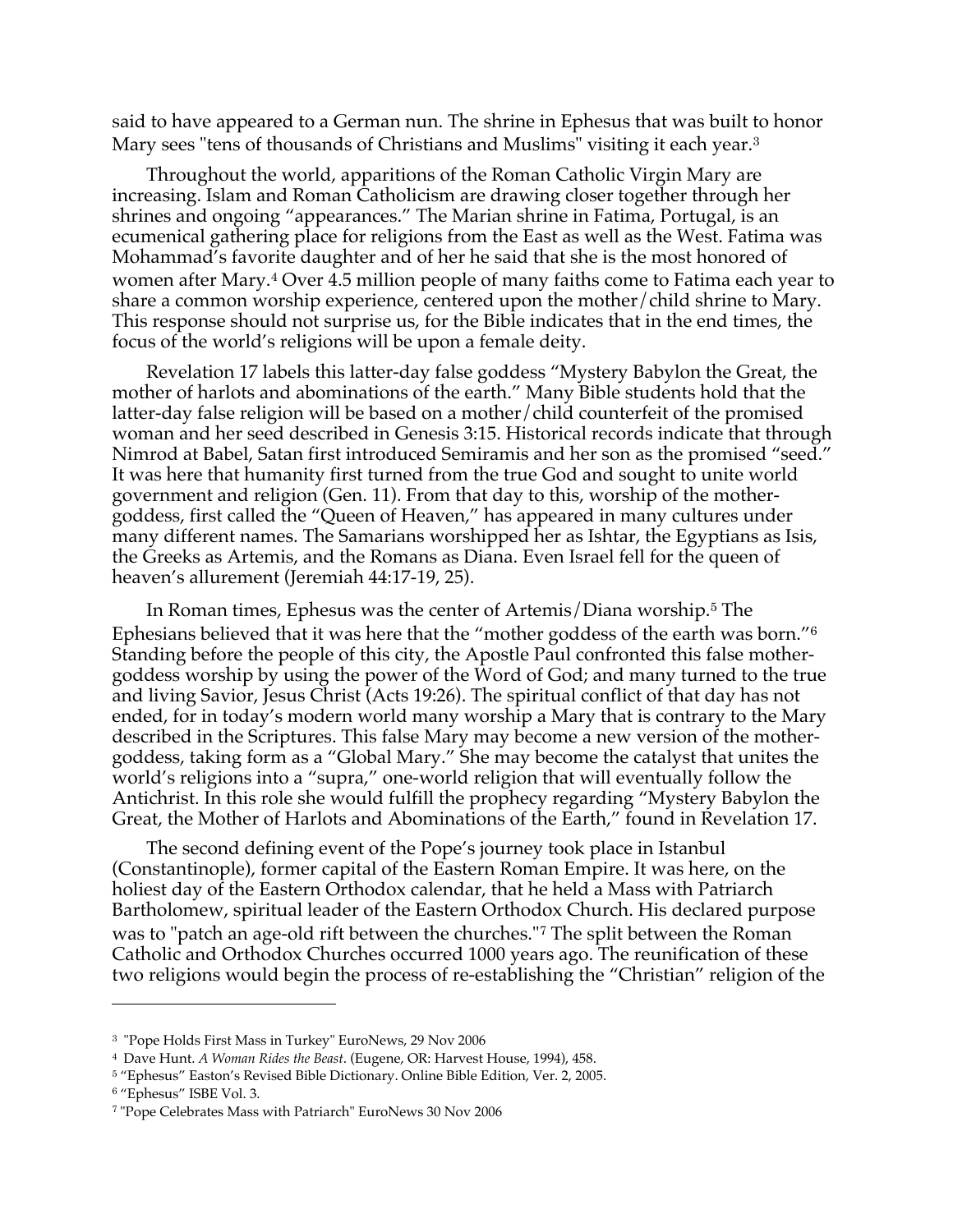said to have appeared to a German nun. The shrine in Ephesus that was built to honor Mary sees "tens of thousands of Christians and Muslims" visiting it each year.<sup>3</sup>

Throughout the world, apparitions of the Roman Catholic Virgin Mary are increasing. Islam and Roman Catholicism are drawing closer together through her shrines and ongoing "appearances." The Marian shrine in Fatima, Portugal, is an ecumenical gathering place for religions from the East as well as the West. Fatima was Mohammad's favorite daughter and of her he said that she is the most honored of women after Mary.<sup>4</sup> Over 4.5 million people of many faiths come to Fatima each year to share a common worship experience, centered upon the mother/child shrine to Mary. This response should not surprise us, for the Bible indicates that in the end times, the focus of the world's religions will be upon a female deity.

Revelation 17 labels this latter-day false goddess "Mystery Babylon the Great, the mother of harlots and abominations of the earth." Many Bible students hold that the latter-day false religion will be based on a mother/child counterfeit of the promised woman and her seed described in Genesis 3:15. Historical records indicate that through Nimrod at Babel, Satan first introduced Semiramis and her son as the promised "seed." It was here that humanity first turned from the true God and sought to unite world government and religion (Gen. 11). From that day to this, worship of the mothergoddess, first called the "Queen of Heaven," has appeared in many cultures under many different names. The Samarians worshipped her as Ishtar, the Egyptians as Isis, the Greeks as Artemis, and the Romans as Diana. Even Israel fell for the queen of heaven's allurement (Jeremiah 44:17-19, 25).

In Roman times, Ephesus was the center of Artemis/Diana worship.<sup>5</sup> The Ephesians believed that it was here that the "mother goddess of the earth was born."<sup>6</sup> Standing before the people of this city, the Apostle Paul confronted this false mothergoddess worship by using the power of the Word of God; and many turned to the true and living Savior, Jesus Christ (Acts 19:26). The spiritual conflict of that day has not ended, for in today's modern world many worship a Mary that is contrary to the Mary described in the Scriptures. This false Mary may become a new version of the mothergoddess, taking form as a "Global Mary." She may become the catalyst that unites the world's religions into a "supra," one-world religion that will eventually follow the Antichrist. In this role she would fulfill the prophecy regarding "Mystery Babylon the Great, the Mother of Harlots and Abominations of the Earth," found in Revelation 17.

The second defining event of the Pope's journey took place in Istanbul (Constantinople), former capital of the Eastern Roman Empire. It was here, on the holiest day of the Eastern Orthodox calendar, that he held a Mass with Patriarch Bartholomew, spiritual leader of the Eastern Orthodox Church. His declared purpose was to "patch an age-old rift between the churches."<sup>7</sup> The split between the Roman Catholic and Orthodox Churches occurred 1000 years ago. The reunification of these two religions would begin the process of re-establishing the "Christian" religion of the

<sup>3</sup> "Pope Holds First Mass in Turkey" EuroNews, 29 Nov 2006

<sup>4</sup> Dave Hunt. *A Woman Rides the Beast*. (Eugene, OR: Harvest House, 1994), 458.

<sup>5</sup> "Ephesus" Easton's Revised Bible Dictionary. Online Bible Edition, Ver. 2, 2005.

<sup>6</sup> "Ephesus" ISBE Vol. 3.

<sup>7</sup> "Pope Celebrates Mass with Patriarch" EuroNews 30 Nov 2006